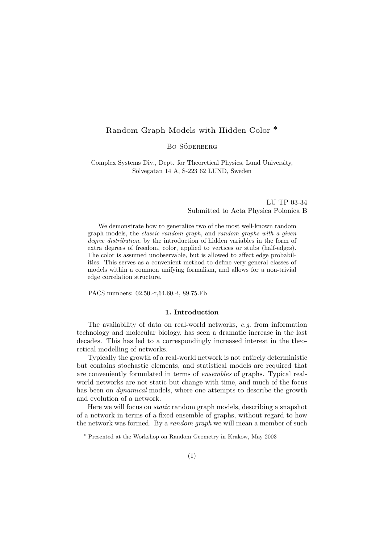# Random Graph Models with Hidden Color ∗

BO SÖDERBERG

Complex Systems Div., Dept. for Theoretical Physics, Lund University, Sölvegatan 14 A, S-223 62 LUND, Sweden

> LU TP 03-34 Submitted to Acta Physica Polonica B

We demonstrate how to generalize two of the most well-known random graph models, the classic random graph, and random graphs with a given degree distribution, by the introduction of hidden variables in the form of extra degrees of freedom, color, applied to vertices or stubs (half-edges). The color is assumed unobservable, but is allowed to affect edge probabilities. This serves as a convenient method to define very general classes of models within a common unifying formalism, and allows for a non-trivial edge correlation structure.

PACS numbers: 02.50.-r,64.60.-i, 89.75.Fb

# 1. Introduction

The availability of data on real-world networks, e.g. from information technology and molecular biology, has seen a dramatic increase in the last decades. This has led to a correspondingly increased interest in the theoretical modelling of networks.

Typically the growth of a real-world network is not entirely deterministic but contains stochastic elements, and statistical models are required that are conveniently formulated in terms of ensembles of graphs. Typical realworld networks are not static but change with time, and much of the focus has been on *dynamical* models, where one attempts to describe the growth and evolution of a network.

Here we will focus on static random graph models, describing a snapshot of a network in terms of a fixed ensemble of graphs, without regard to how the network was formed. By a *random graph* we will mean a member of such

<sup>∗</sup> Presented at the Workshop on Random Geometry in Krakow, May 2003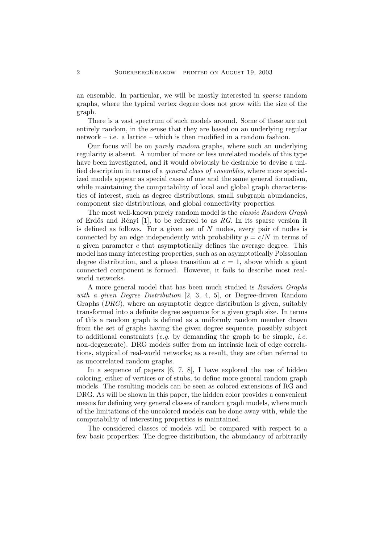an ensemble. In particular, we will be mostly interested in sparse random graphs, where the typical vertex degree does not grow with the size of the graph.

There is a vast spectrum of such models around. Some of these are not entirely random, in the sense that they are based on an underlying regular network – i.e. a lattice – which is then modified in a random fashion.

Our focus will be on purely random graphs, where such an underlying regularity is absent. A number of more or less unrelated models of this type have been investigated, and it would obviously be desirable to devise a unified description in terms of a general class of ensembles, where more specialized models appear as special cases of one and the same general formalism, while maintaining the computability of local and global graph characteristics of interest, such as degree distributions, small subgraph abundancies, component size distributions, and global connectivity properties.

The most well-known purely random model is the classic Random Graph of Erdős and Rényi [1], to be referred to as RG. In its sparse version it is defined as follows. For a given set of  $N$  nodes, every pair of nodes is connected by an edge independently with probability  $p = c/N$  in terms of a given parameter  $c$  that asymptotically defines the average degree. This model has many interesting properties, such as an asymptotically Poissonian degree distribution, and a phase transition at  $c = 1$ , above which a giant connected component is formed. However, it fails to describe most realworld networks.

A more general model that has been much studied is Random Graphs with a given Degree Distribution [2, 3, 4, 5], or Degree-driven Random Graphs (DRG), where an asymptotic degree distribution is given, suitably transformed into a definite degree sequence for a given graph size. In terms of this a random graph is defined as a uniformly random member drawn from the set of graphs having the given degree sequence, possibly subject to additional constraints (e.g. by demanding the graph to be simple, *i.e.* non-degenerate). DRG models suffer from an intrinsic lack of edge correlations, atypical of real-world networks; as a result, they are often referred to as uncorrelated random graphs.

In a sequence of papers [6, 7, 8], I have explored the use of hidden coloring, either of vertices or of stubs, to define more general random graph models. The resulting models can be seen as colored extensions of RG and DRG. As will be shown in this paper, the hidden color provides a convenient means for defining very general classes of random graph models, where much of the limitations of the uncolored models can be done away with, while the computability of interesting properties is maintained.

The considered classes of models will be compared with respect to a few basic properties: The degree distribution, the abundancy of arbitrarily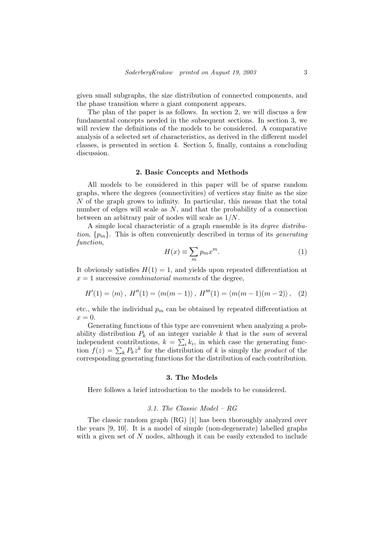given small subgraphs, the size distribution of connected components, and the phase transition where a giant component appears.

The plan of the paper is as follows. In section 2, we will discuss a few fundamental concepts needed in the subsequent sections. In section 3, we will review the definitions of the models to be considered. A comparative analysis of a selected set of characteristics, as derived in the different model classes, is presented in section 4. Section 5, finally, contains a concluding discussion.

# 2. Basic Concepts and Methods

All models to be considered in this paper will be of sparse random graphs, where the degrees (connectivities) of vertices stay finite as the size N of the graph grows to infinity. In particular, this means that the total number of edges will scale as  $N$ , and that the probability of a connection between an arbitrary pair of nodes will scale as 1/N.

A simple local characteristic of a graph ensemble is its degree distribution,  $\{p_m\}$ . This is often conveniently described in terms of its *generating* function,  $\overline{\phantom{a}}$ 

$$
H(x) \equiv \sum_{m} p_m x^m. \tag{1}
$$

It obviously satisfies  $H(1) = 1$ , and yields upon repeated differentiation at  $x = 1$  successive *combinatorial moments* of the degree,

$$
H'(1) = \langle m \rangle, H''(1) = \langle m(m-1) \rangle, H'''(1) = \langle m(m-1)(m-2) \rangle, (2)
$$

etc., while the individual  $p_m$  can be obtained by repeated differentiation at  $x=0.$ 

Generating functions of this type are convenient when analyzing a probability distribution  $P_k$  of an integer variable k that is the sum of several independent contributions,  $k = \sum_i k_i$ , in which case the generating funcindependent contributions,  $\kappa = \sum_i \kappa_i$ , in which case the generating function  $f(z) = \sum_k P_k z^k$  for the distribution of k is simply the *product* of the corresponding generating functions for the distribution of each contribution.

# 3. The Models

Here follows a brief introduction to the models to be considered.

# 3.1. The Classic Model – RG

The classic random graph (RG) [1] has been thoroughly analyzed over the years [9, 10]. It is a model of simple (non-degenerate) labelled graphs with a given set of  $N$  nodes, although it can be easily extended to include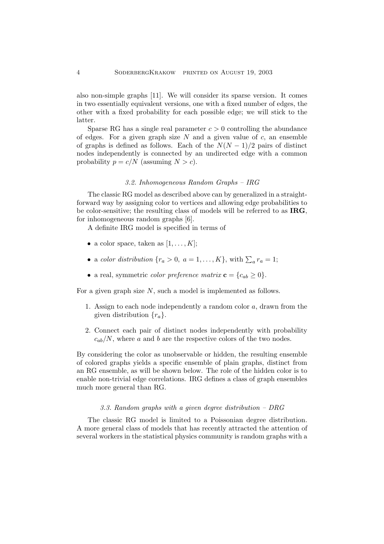also non-simple graphs [11]. We will consider its sparse version. It comes in two essentially equivalent versions, one with a fixed number of edges, the other with a fixed probability for each possible edge; we will stick to the latter.

Sparse RG has a single real parameter  $c > 0$  controlling the abundance of edges. For a given graph size  $N$  and a given value of  $c$ , an ensemble of graphs is defined as follows. Each of the  $N(N-1)/2$  pairs of distinct nodes independently is connected by an undirected edge with a common probability  $p = c/N$  (assuming  $N > c$ ).

# 3.2. Inhomogeneous Random Graphs – IRG

The classic RG model as described above can by generalized in a straightforward way by assigning color to vertices and allowing edge probabilities to be color-sensitive; the resulting class of models will be referred to as IRG, for inhomogeneous random graphs [6].

A definite IRG model is specified in terms of

- a color space, taken as  $[1, \ldots, K]$ ;
- a color distribution  $\{r_a > 0, a = 1, ..., K\}$ , with  $\sum_a r_a = 1$ ;
- a real, symmetric *color preference matrix*  $\mathbf{c} = \{c_{ab} \ge 0\}.$

For a given graph size N, such a model is implemented as follows.

- 1. Assign to each node independently a random color a, drawn from the given distribution  $\{r_a\}.$
- 2. Connect each pair of distinct nodes independently with probability  $c_{ab}/N$ , where a and b are the respective colors of the two nodes.

By considering the color as unobservable or hidden, the resulting ensemble of colored graphs yields a specific ensemble of plain graphs, distinct from an RG ensemble, as will be shown below. The role of the hidden color is to enable non-trivial edge correlations. IRG defines a class of graph ensembles much more general than RG.

# 3.3. Random graphs with a given degree distribution – DRG

The classic RG model is limited to a Poissonian degree distribution. A more general class of models that has recently attracted the attention of several workers in the statistical physics community is random graphs with a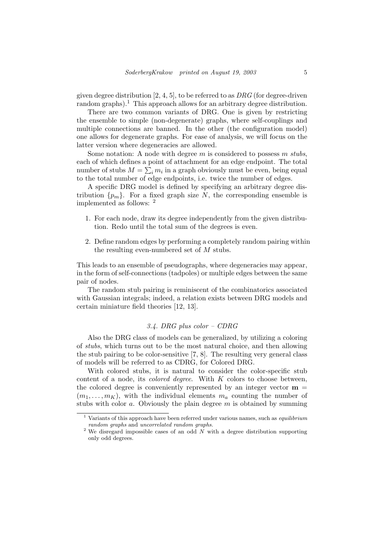given degree distribution  $[2, 4, 5]$ , to be referred to as  $DRG$  (for degree-driven random graphs).<sup>1</sup> This approach allows for an arbitrary degree distribution.

There are two common variants of DRG. One is given by restricting the ensemble to simple (non-degenerate) graphs, where self-couplings and multiple connections are banned. In the other (the configuration model) one allows for degenerate graphs. For ease of analysis, we will focus on the latter version where degeneracies are allowed.

Some notation: A node with degree m is considered to possess m stubs, each of which defines a point of attachment for an edge endpoint. The total number of stubs  $M = \sum_i m_i$  in a graph obviously must be even, being equal to the total number of edge endpoints, i.e. twice the number of edges.

A specific DRG model is defined by specifying an arbitrary degree distribution  $\{p_m\}$ . For a fixed graph size N, the corresponding ensemble is implemented as follows: <sup>2</sup>

- 1. For each node, draw its degree independently from the given distribution. Redo until the total sum of the degrees is even.
- 2. Define random edges by performing a completely random pairing within the resulting even-numbered set of M stubs.

This leads to an ensemble of pseudographs, where degeneracies may appear, in the form of self-connections (tadpoles) or multiple edges between the same pair of nodes.

The random stub pairing is reminiscent of the combinatorics associated with Gaussian integrals; indeed, a relation exists between DRG models and certain miniature field theories [12, 13].

# 3.4. DRG plus color – CDRG

Also the DRG class of models can be generalized, by utilizing a coloring of stubs, which turns out to be the most natural choice, and then allowing the stub pairing to be color-sensitive [7, 8]. The resulting very general class of models will be referred to as CDRG, for Colored DRG.

With colored stubs, it is natural to consider the color-specific stub content of a node, its *colored degree*. With  $K$  colors to choose between, the colored degree is conveniently represented by an integer vector  $\mathbf{m} =$  $(m_1, \ldots, m_K)$ , with the individual elements  $m_a$  counting the number of stubs with color a. Obviously the plain degree  $m$  is obtained by summing

Variants of this approach have been referred under various names, such as *equilibrium* random graphs and uncorrelated random graphs.

<sup>&</sup>lt;sup>2</sup> We disregard impossible cases of an odd  $\overrightarrow{N}$  with a degree distribution supporting only odd degrees.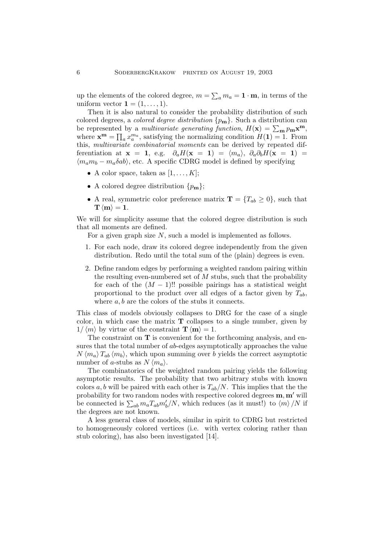up the elements of the colored degree,  $m = \sum_a m_a = \mathbf{1} \cdot \mathbf{m}$ , in terms of the uniform vector  $\mathbf{1} = (1, \ldots, 1)$ .

Then it is also natural to consider the probability distribution of such colored degrees, a *colored degree distribution*  $\{p_m\}$ . Such a distribution can be represented by a *multivariate generating function*,  $H(\mathbf{x}) = \sum_{\mathbf{m}} p_{\mathbf{m}} \mathbf{x}^{\mathbf{m}}$ , where  $\mathbf{x}^{\mathbf{m}} = \prod_a x_a^{m_a}$ , satisfying the normalizing condition  $H(1) = 1$ . From this, multivariate combinatorial moments can be derived by repeated differentiation at  $\mathbf{x} = 1$ , e.g.  $\partial_a H(\mathbf{x} = 1) = \langle m_a \rangle$ ,  $\partial_a \partial_b H(\mathbf{x} = 1) =$  $\langle m_a m_b - m_a \delta ab \rangle$ , etc. A specific CDRG model is defined by specifying

- A color space, taken as  $[1, \ldots, K];$
- A colored degree distribution  $\{p_{\bf m}\};$
- A real, symmetric color preference matrix  $\mathbf{T} = \{T_{ab} \geq 0\}$ , such that  $\mathbf{T} \langle \mathbf{m} \rangle = 1.$

We will for simplicity assume that the colored degree distribution is such that all moments are defined.

For a given graph size N, such a model is implemented as follows.

- 1. For each node, draw its colored degree independently from the given distribution. Redo until the total sum of the (plain) degrees is even.
- 2. Define random edges by performing a weighted random pairing within the resulting even-numbered set of  $M$  stubs, such that the probability for each of the  $(M - 1)$ !! possible pairings has a statistical weight proportional to the product over all edges of a factor given by  $T_{ab}$ , where  $a, b$  are the colors of the stubs it connects.

This class of models obviously collapses to DRG for the case of a single color, in which case the matrix  **collapses to a single number, given by**  $1/\langle m \rangle$  by virtue of the constraint  $\mathbf{T} \langle m \rangle = 1$ .

The constraint on  $T$  is convenient for the forthcoming analysis, and ensures that the total number of ab-edges asymptotically approaches the value  $N \langle m_a \rangle T_{ab} \langle m_b \rangle$ , which upon summing over b yields the correct asymptotic number of a-stubs as  $N \langle m_a \rangle$ .

The combinatorics of the weighted random pairing yields the following asymptotic results. The probability that two arbitrary stubs with known colors a, b will be paired with each other is  $T_{ab}/N$ . This implies that the the probability for two random nodes with respective colored degrees  $m, m'$  will probability for two random hodes with respective colored degrees **in**, **in** with be connected is  $\sum_{ab} m_a T_{ab} m'_b/N$ , which reduces (as it must!) to  $\langle m \rangle/N$  if the degrees are not known.

A less general class of models, similar in spirit to CDRG but restricted to homogeneously colored vertices (i.e. with vertex coloring rather than stub coloring), has also been investigated [14].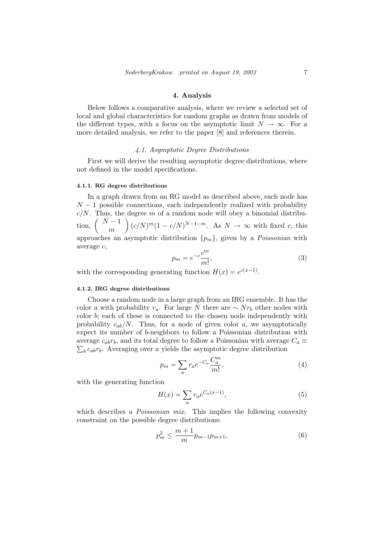## 4. Analysis

Below follows a comparative analysis, where we review a selected set of local and global characteristics for random graphs as drawn from models of the different types, with a focus on the asymptotic limit  $N \to \infty$ . For a more detailed analysis, we refer to the paper [8] and references therein.

# 4.1. Asymptotic Degree Distributions

First we will derive the resulting asymptotic degree distributions, where not defined in the model specifications.

#### 4.1.1. RG degree distributions

In a graph drawn from an RG model as described above, each node has  $N-1$  possible connections, each independently realized with probability  $c/N$ . Thus, the degree m of a random node will obey a binomial distribu- $\frac{C}{N}$ ,  $\left(\begin{array}{c} N-1 \\ \end{array}\right)$  $\begin{bmatrix} -1 \\ m \end{bmatrix} (c/N)^m (1 - c/N)^{N-1-m}$ . As  $N \to \infty$  with fixed c, this approaches an asymptotic distribution  $\{p_m\}$ , given by a *Poissonian* with average c,

$$
p_m = e^{-c} \frac{c^m}{m!},\tag{3}
$$

with the corresponding generating function  $H(x) = e^{c(x-1)}$ .

### 4.1.2. IRG degree distributions

Choose a random node in a large graph from an IRG ensemble. It has the color a with probability  $r_a$ . For large N there are  $\sim N r_b$  other nodes with color b; each of these is connected to the chosen node independently with probability  $c_{ab}/N$ . Thus, for a node of given color a, we asymptotically expect its number of b-neighbors to follow a Poissonian distribution with average  $c_{ab}r_b$ , and its total degree to follow a Poissonian with average  $C_a \equiv$  $bc_{ab}r_b$ . Averaging over a yields the asymptotic degree distribution

$$
p_m = \sum_a r_a e^{-C_a} \frac{C_a^m}{m!},\tag{4}
$$

with the generating function

$$
H(x) = \sum_{a} r_a e^{C_a(x-1)},\tag{5}
$$

which describes a *Poissonian mix*. This implies the following convexity constraint on the possible degree distributions:

$$
p_m^2 \le \frac{m+1}{m} p_{m-1} p_{m+1},\tag{6}
$$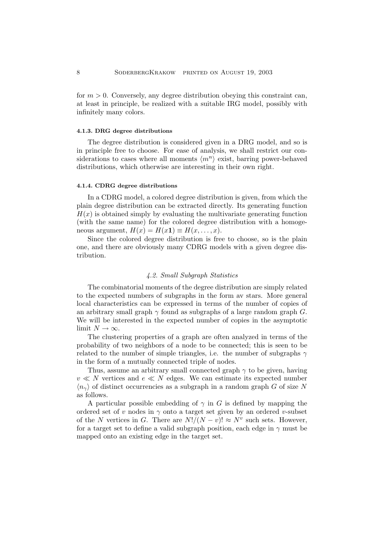for  $m > 0$ . Conversely, any degree distribution obeying this constraint can, at least in principle, be realized with a suitable IRG model, possibly with infinitely many colors.

## 4.1.3. DRG degree distributions

The degree distribution is considered given in a DRG model, and so is in principle free to choose. For ease of analysis, we shall restrict our considerations to cases where all moments  $\langle m^n \rangle$  exist, barring power-behaved distributions, which otherwise are interesting in their own right.

#### 4.1.4. CDRG degree distributions

In a CDRG model, a colored degree distribution is given, from which the plain degree distribution can be extracted directly. Its generating function  $H(x)$  is obtained simply by evaluating the multivariate generating function (with the same name) for the colored degree distribution with a homogeneous argument,  $H(x) = H(x1) \equiv H(x, \ldots, x)$ .

Since the colored degree distribution is free to choose, so is the plain one, and there are obviously many CDRG models with a given degree distribution.

#### 4.2. Small Subgraph Statistics

The combinatorial moments of the degree distribution are simply related to the expected numbers of subgraphs in the form av stars. More general local characteristics can be expressed in terms of the number of copies of an arbitrary small graph  $\gamma$  found as subgraphs of a large random graph G. We will be interested in the expected number of copies in the asymptotic limit  $N \to \infty$ .

The clustering properties of a graph are often analyzed in terms of the probability of two neighbors of a node to be connected; this is seen to be related to the number of simple triangles, i.e. the number of subgraphs  $\gamma$ in the form of a mutually connected triple of nodes.

Thus, assume an arbitrary small connected graph  $\gamma$  to be given, having  $v \ll N$  vertices and  $e \ll N$  edges. We can estimate its expected number  $\langle n_{\gamma} \rangle$  of distinct occurrencies as a subgraph in a random graph G of size N as follows.

A particular possible embedding of  $\gamma$  in G is defined by mapping the ordered set of v nodes in  $\gamma$  onto a target set given by an ordered v-subset of the N vertices in G. There are  $N!/(N-v)! \approx N^v$  such sets. However, for a target set to define a valid subgraph position, each edge in  $\gamma$  must be mapped onto an existing edge in the target set.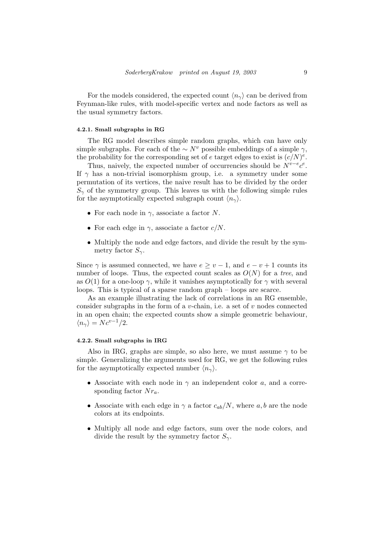For the models considered, the expected count  $\langle n_{\gamma} \rangle$  can be derived from Feynman-like rules, with model-specific vertex and node factors as well as the usual symmetry factors.

# 4.2.1. Small subgraphs in RG

The RG model describes simple random graphs, which can have only simple subgraphs. For each of the  $\sim N^v$  possible embeddings of a simple  $\gamma$ , the probability for the corresponding set of e target edges to exist is  $(c/N)^e$ .

Thus, naively, the expected number of occurrencies should be  $N^{v-e}e^e$ . If  $\gamma$  has a non-trivial isomorphism group, i.e. a symmetry under some permutation of its vertices, the naive result has to be divided by the order  $S_{\gamma}$  of the symmetry group. This leaves us with the following simple rules for the asymptotically expected subgraph count  $\langle n_{\gamma} \rangle$ .

- For each node in  $\gamma$ , associate a factor N.
- For each edge in  $\gamma$ , associate a factor  $c/N$ .
- Multiply the node and edge factors, and divide the result by the symmetry factor  $S_{\gamma}$ .

Since  $\gamma$  is assumed connected, we have  $e \ge v - 1$ , and  $e - v + 1$  counts its number of loops. Thus, the expected count scales as  $O(N)$  for a tree, and as  $O(1)$  for a one-loop  $\gamma$ , while it vanishes asymptotically for  $\gamma$  with several loops. This is typical of a sparse random graph – loops are scarce.

As an example illustrating the lack of correlations in an RG ensemble, consider subgraphs in the form of a v-chain, i.e. a set of v nodes connected in an open chain; the expected counts show a simple geometric behaviour,  $\langle n_{\gamma} \rangle = N c^{v-1}/2.$ 

#### 4.2.2. Small subgraphs in IRG

Also in IRG, graphs are simple, so also here, we must assume  $\gamma$  to be simple. Generalizing the arguments used for RG, we get the following rules for the asymptotically expected number  $\langle n_{\gamma} \rangle$ .

- Associate with each node in  $\gamma$  an independent color a, and a corresponding factor  $Nr_a$ .
- Associate with each edge in  $\gamma$  a factor  $c_{ab}/N$ , where a, b are the node colors at its endpoints.
- Multiply all node and edge factors, sum over the node colors, and divide the result by the symmetry factor  $S_{\gamma}$ .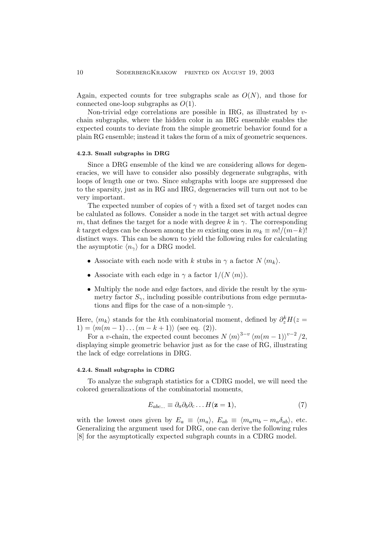Again, expected counts for tree subgraphs scale as  $O(N)$ , and those for connected one-loop subgraphs as  $O(1)$ .

Non-trivial edge correlations are possible in IRG, as illustrated by  $v$ chain subgraphs, where the hidden color in an IRG ensemble enables the expected counts to deviate from the simple geometric behavior found for a plain RG ensemble; instead it takes the form of a mix of geometric sequences.

#### 4.2.3. Small subgraphs in DRG

Since a DRG ensemble of the kind we are considering allows for degeneracies, we will have to consider also possibly degenerate subgraphs, with loops of length one or two. Since subgraphs with loops are suppressed due to the sparsity, just as in RG and IRG, degeneracies will turn out not to be very important.

The expected number of copies of  $\gamma$  with a fixed set of target nodes can be calulated as follows. Consider a node in the target set with actual degree m, that defines the target for a node with degree k in  $\gamma$ . The corresponding k target edges can be chosen among the m existing ones in  $m_k \equiv m!/(m-k)!$ distinct ways. This can be shown to yield the following rules for calculating the asymptotic  $\langle n_{\gamma} \rangle$  for a DRG model.

- Associate with each node with k stubs in  $\gamma$  a factor  $N \langle m_k \rangle$ .
- Associate with each edge in  $\gamma$  a factor  $1/(N \langle m \rangle)$ .
- Multiply the node and edge factors, and divide the result by the symmetry factor  $S_{\gamma}$ , including possible contributions from edge permutations and flips for the case of a non-simple  $\gamma$ .

Here,  $\langle m_k \rangle$  stands for the k<sup>th</sup> combinatorial moment, defined by  $\partial_z^k H(z)$  $1) = \langle m(m - 1) \dots (m - k + 1) \rangle$  (see eq. (2)).

For a v-chain, the expected count becomes  $N \langle m \rangle^{3-v} \langle m(m-1) \rangle^{v-2} / 2$ , displaying simple geometric behavior just as for the case of RG, illustrating the lack of edge correlations in DRG.

#### 4.2.4. Small subgraphs in CDRG

To analyze the subgraph statistics for a CDRG model, we will need the colored generalizations of the combinatorial moments,

$$
E_{abc...} \equiv \partial_a \partial_b \partial_c \dots H(\mathbf{z} = 1),\tag{7}
$$

with the lowest ones given by  $E_a \equiv \langle m_a \rangle$ ,  $E_{ab} \equiv \langle m_a m_b - m_a \delta_{ab} \rangle$ , etc. Generalizing the argument used for DRG, one can derive the following rules [8] for the asymptotically expected subgraph counts in a CDRG model.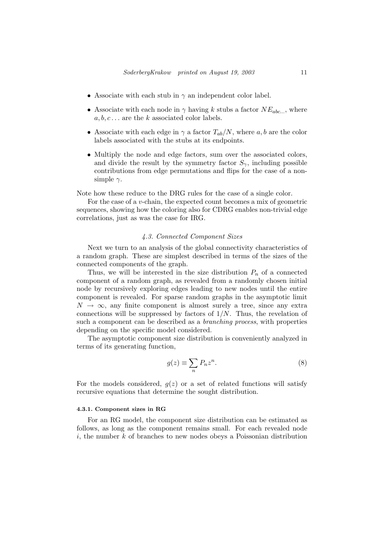- Associate with each stub in  $\gamma$  an independent color label.
- Associate with each node in  $\gamma$  having k stubs a factor  $NE_{abc}$ , where  $a, b, c \ldots$  are the k associated color labels.
- Associate with each edge in  $\gamma$  a factor  $T_{ab}/N$ , where a, b are the color labels associated with the stubs at its endpoints.
- Multiply the node and edge factors, sum over the associated colors, and divide the result by the symmetry factor  $S_{\gamma}$ , including possible contributions from edge permutations and flips for the case of a nonsimple  $\gamma$ .

Note how these reduce to the DRG rules for the case of a single color.

For the case of a v-chain, the expected count becomes a mix of geometric sequences, showing how the coloring also for CDRG enables non-trivial edge correlations, just as was the case for IRG.

# 4.3. Connected Component Sizes

Next we turn to an analysis of the global connectivity characteristics of a random graph. These are simplest described in terms of the sizes of the connected components of the graph.

Thus, we will be interested in the size distribution  $P_n$  of a connected component of a random graph, as revealed from a randomly chosen initial node by recursively exploring edges leading to new nodes until the entire component is revealed. For sparse random graphs in the asymptotic limit  $N \to \infty$ , any finite component is almost surely a tree, since any extra connections will be suppressed by factors of  $1/N$ . Thus, the revelation of such a component can be described as a branching process, with properties depending on the specific model considered.

The asymptotic component size distribution is conveniently analyzed in terms of its generating function,

$$
g(z) \equiv \sum_{n} P_n z^n.
$$
 (8)

For the models considered,  $q(z)$  or a set of related functions will satisfy recursive equations that determine the sought distribution.

#### 4.3.1. Component sizes in RG

For an RG model, the component size distribution can be estimated as follows, as long as the component remains small. For each revealed node i, the number  $k$  of branches to new nodes obeys a Poissonian distribution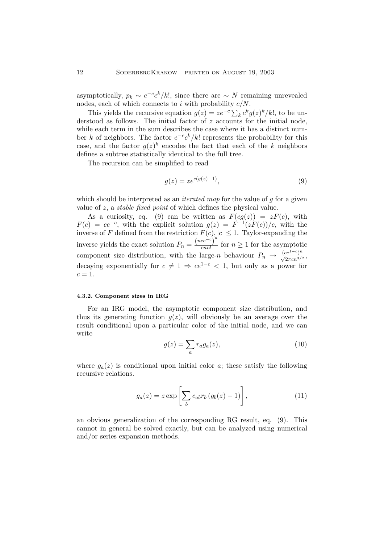asymptotically,  $p_k \sim e^{-c} c^k / k!$ , since there are  $\sim N$  remaining unrevealed nodes, each of which connects to i with probability  $c/N$ .

This yields the recursive equation  $g(z) = ze^{-c} \sum_{k} c^{k} g(z)^{k} / k!$ , to be understood as follows. The initial factor of z accounts for the initial node, while each term in the sum describes the case where it has a distinct number k of neighbors. The factor  $e^{-c}c^k/k!$  represents the probability for this case, and the factor  $g(z)^k$  encodes the fact that each of the k neighbors defines a subtree statistically identical to the full tree.

The recursion can be simplified to read

$$
g(z) = z e^{c(g(z)-1)},
$$
\n(9)

which should be interpreted as an *iterated map* for the value of  $q$  for a given value of z, a stable fixed point of which defines the physical value.

As a curiosity, eq. (9) can be written as  $F(cg(z)) = zF(c)$ , with  $F(c) = ce^{-c}$ , with the explicit solution  $g(z) = F^{-1}(zF(c))/c$ , with the inverse of F defined from the restriction  $F(c)$ ,  $|c| \leq 1$ . Taylor-expanding the inverse yields the exact solution  $P_n = \frac{(nce^{-c})^n}{cnn!}$  $\frac{ce}{cnn!}$  for  $n \geq 1$  for the asymptotic component size distribution, with the large-n behaviour  $P_n \to \frac{(ce^{1-c})^n}{\sqrt{2\pi}cn^{3/2}}$ , decaying exponentially for  $c \neq 1 \Rightarrow ce^{1-c} < 1$ , but only as a power for  $c=1.$ 

#### 4.3.2. Component sizes in IRG

For an IRG model, the asymptotic component size distribution, and thus its generating function  $q(z)$ , will obviously be an average over the result conditional upon a particular color of the initial node, and we can write

$$
g(z) = \sum_{a} r_a g_a(z), \tag{10}
$$

where  $g_a(z)$  is conditional upon initial color a; these satisfy the following recursive relations.

$$
g_a(z) = z \exp\left[\sum_b c_{ab} r_b \left(g_b(z) - 1\right)\right],\tag{11}
$$

an obvious generalization of the corresponding RG result, eq. (9). This cannot in general be solved exactly, but can be analyzed using numerical and/or series expansion methods.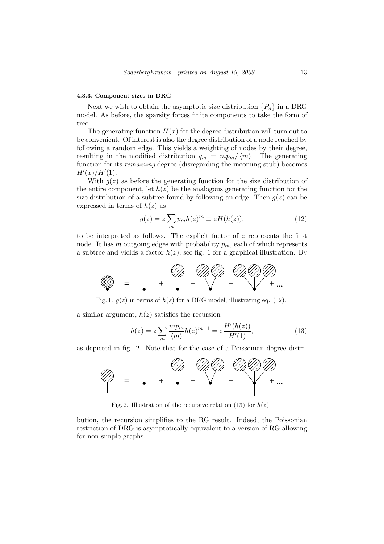#### 4.3.3. Component sizes in DRG

Next we wish to obtain the asymptotic size distribution  $\{P_n\}$  in a DRG model. As before, the sparsity forces finite components to take the form of tree.

The generating function  $H(x)$  for the degree distribution will turn out to be convenient. Of interest is also the degree distribution of a node reached by following a random edge. This yields a weighting of nodes by their degree, resulting in the modified distribution  $q_m = mp_m / \langle m \rangle$ . The generating function for its *remaining* degree (disregarding the incoming stub) becomes  $H'(x)/H'(1)$ .

With  $q(z)$  as before the generating function for the size distribution of the entire component, let  $h(z)$  be the analogous generating function for the size distribution of a subtree found by following an edge. Then  $q(z)$  can be expressed in terms of  $h(z)$  as

$$
g(z) = z \sum_{m} p_m h(z)^m \equiv z H(h(z)), \qquad (12)
$$

to be interpreted as follows. The explicit factor of  $z$  represents the first node. It has m outgoing edges with probability  $p_m$ , each of which represents a subtree and yields a factor  $h(z)$ ; see fig. 1 for a graphical illustration. By



Fig. 1.  $g(z)$  in terms of  $h(z)$  for a DRG model, illustrating eq. (12).

a similar argument,  $h(z)$  satisfies the recursion

$$
h(z) = z \sum_{m} \frac{mp_m}{\langle m \rangle} h(z)^{m-1} = z \frac{H'(h(z))}{H'(1)},
$$
\n(13)

as depicted in fig. 2. Note that for the case of a Poissonian degree distri-



Fig. 2. Illustration of the recursive relation (13) for  $h(z)$ .

bution, the recursion simplifies to the RG result. Indeed, the Poissonian restriction of DRG is asymptotically equivalent to a version of RG allowing for non-simple graphs.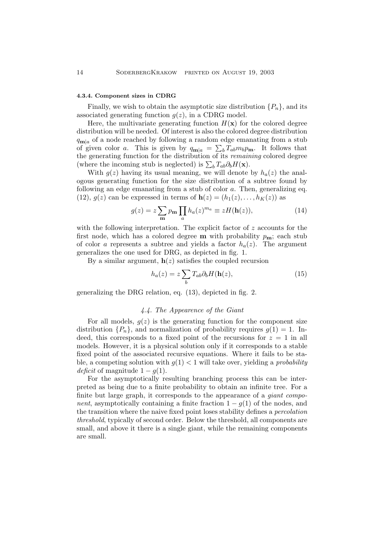#### 4.3.4. Component sizes in CDRG

Finally, we wish to obtain the asymptotic size distribution  $\{P_n\}$ , and its associated generating function  $g(z)$ , in a CDRG model.

Here, the multivariate generating function  $H(\mathbf{x})$  for the colored degree distribution will be needed. Of interest is also the colored degree distribution  $q_{\mathbf{m}|a}$  of a node reached by following a random edge emanating from a stub of given color a. This is given by  $q_{m|a} = \sum_b T_{ab} m_b p_m$ . It follows that the generating function for the distribution of its *remaining* colored degree (where the incoming stub is neglected) is  $\sum_b T_{ab} \partial_b H(\mathbf{x})$ .

With  $g(z)$  having its usual meaning, we will denote by  $h_a(z)$  the analogous generating function for the size distribution of a subtree found by following an edge emanating from a stub of color a. Then, generalizing eq. (12),  $g(z)$  can be expressed in terms of  $h(z) = (h_1(z), \ldots, h_K(z))$  as

$$
g(z) = z \sum_{\mathbf{m}} p_{\mathbf{m}} \prod_{a} h_a(z)^{m_a} \equiv z H(\mathbf{h}(z)), \qquad (14)
$$

with the following interpretation. The explicit factor of  $z$  accounts for the first node, which has a colored degree  $m$  with probability  $p_m$ ; each stub of color a represents a subtree and yields a factor  $h_a(z)$ . The argument generalizes the one used for DRG, as depicted in fig. 1.

By a similar argument,  $h(z)$  satisfies the coupled recursion

$$
h_a(z) = z \sum_b T_{ab} \partial_b H(\mathbf{h}(z), \tag{15}
$$

generalizing the DRG relation, eq. (13), depicted in fig. 2.

# 4.4. The Appearence of the Giant

For all models,  $g(z)$  is the generating function for the component size distribution  ${P_n}$ , and normalization of probability requires  $q(1) = 1$ . Indeed, this corresponds to a fixed point of the recursions for  $z = 1$  in all models. However, it is a physical solution only if it corresponds to a stable fixed point of the associated recursive equations. Where it fails to be stable, a competing solution with  $g(1) < 1$  will take over, yielding a *probability deficit* of magnitude  $1 - g(1)$ .

For the asymptotically resulting branching process this can be interpreted as being due to a finite probability to obtain an infinite tree. For a finite but large graph, it corresponds to the appearance of a *giant component*, asymptotically containing a finite fraction  $1 - g(1)$  of the nodes, and the transition where the naive fixed point loses stability defines a *percolation* threshold, typically of second order. Below the threshold, all components are small, and above it there is a single giant, while the remaining components are small.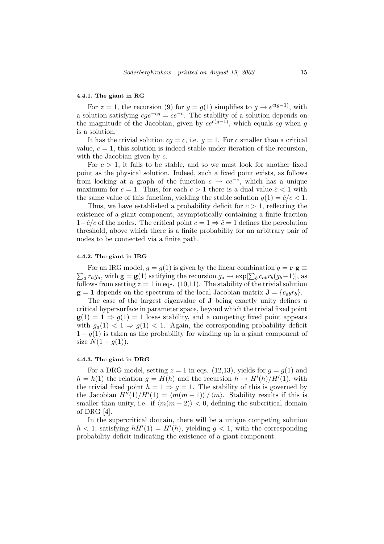#### 4.4.1. The giant in RG

For  $z = 1$ , the recursion (9) for  $g = g(1)$  simplifies to  $g \to e^{c(g-1)}$ , with a solution satisfying  $cge^{-cg} = ce^{-c}$ . The stability of a solution depends on the magnitude of the Jacobian, given by  $ce^{c(g-1)}$ , which equals cg when g is a solution.

It has the trivial solution  $cq = c$ , i.e.  $q = 1$ . For c smaller than a critical value,  $c = 1$ , this solution is indeed stable under iteration of the recursion, with the Jacobian given by  $c$ .

For  $c > 1$ , it fails to be stable, and so we must look for another fixed point as the physical solution. Indeed, such a fixed point exists, as follows from looking at a graph of the function  $c \to ce^{-c}$ , which has a unique maximum for  $c = 1$ . Thus, for each  $c > 1$  there is a dual value  $\hat{c} < 1$  with the same value of this function, yielding the stable solution  $g(1) = \hat{c}/c < 1$ .

Thus, we have established a probability deficit for  $c > 1$ , reflecting the existence of a giant component, asymptotically containing a finite fraction  $1-\hat{c}/c$  of the nodes. The critical point  $c=1 \Rightarrow \hat{c}=1$  defines the percolation threshold, above which there is a finite probability for an arbitrary pair of nodes to be connected via a finite path.

#### 4.4.2. The giant in IRG

 $\overline{ }$ For an IRG model,  $q = q(1)$  is given by the linear combination  $q = \mathbf{r} \cdot \mathbf{g} \equiv$ For an five model,  $g = g(1)$  is given by the finear combination  $g = \mathbf{r} \cdot \mathbf{g} =$ <br>  $a^r a g_a$ , with  $\mathbf{g} = \mathbf{g}(1)$  satifying the recursion  $g_a \to \exp[\sum_b c_{ab} r_b(g_b-1)]$ , as follows from setting  $z = 1$  in eqs. (10,11). The stability of the trivial solution  $g = 1$  depends on the spectrum of the local Jacobian matrix  $J = \{c_{ab}r_b\}.$ 

The case of the largest eigenvalue of J being exactly unity defines a critical hypersurface in parameter space, beyond which the trivial fixed point  $g(1) = 1 \Rightarrow g(1) = 1$  loses stability, and a competing fixed point appears with  $g_a(1) < 1 \Rightarrow g(1) < 1$ . Again, the corresponding probability deficit  $1 - g(1)$  is taken as the probability for winding up in a giant component of size  $N(1 - g(1)).$ 

#### 4.4.3. The giant in DRG

For a DRG model, setting  $z = 1$  in eqs. (12,13), yields for  $g = g(1)$  and  $h = h(1)$  the relation  $g = H(h)$  and the recursion  $h \to H'(h)/H'(1)$ , with the trivial fixed point  $h = 1 \Rightarrow g = 1$ . The stability of this is governed by the Jacobian  $H''(1)/H'(1) = \langle m(m-1) \rangle / \langle m \rangle$ . Stability results if this is smaller than unity, i.e. if  $\langle m(m - 2) \rangle < 0$ , defining the subcritical domain of DRG [4].

In the supercritical domain, there will be a unique competing solution  $h < 1$ , satisfying  $hH'(1) = H'(h)$ , yielding  $g < 1$ , with the corresponding probability deficit indicating the existence of a giant component.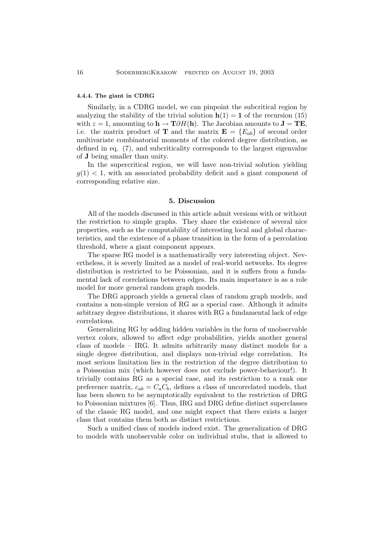## 4.4.4. The giant in CDRG

Similarly, in a CDRG model, we can pinpoint the subcritical region by analyzing the stability of the trivial solution  $h(1) = 1$  of the recursion (15) with  $z = 1$ , amounting to  $h \to T \partial H(h)$ . The Jacobian amounts to  $J = TE$ , i.e. the matrix product of **T** and the matrix  $\mathbf{E} = \{E_{ab}\}\$  of second order multivariate combinatorial moments of the colored degree distribution, as defined in eq. (7), and subcriticality corresponds to the largest eigenvalue of J being smaller than unity.

In the supercritical region, we will have non-trivial solution yielding  $g(1)$  < 1, with an associated probability deficit and a giant component of corresponding relative size.

## 5. Discussion

All of the models discussed in this article admit versions with or without the restriction to simple graphs. They share the existence of several nice properties, such as the computability of interesting local and global characteristics, and the existence of a phase transition in the form of a percolation threshold, where a giant component appears.

The sparse RG model is a mathematically very interesting object. Nevertheless, it is severly limited as a model of real-world networks. Its degree distribution is restricted to be Poissonian, and it is suffers from a fundamental lack of correlations between edges. Its main importance is as a role model for more general random graph models.

The DRG approach yields a general class of random graph models, and contains a non-simple version of RG as a special case. Although it admits arbitrary degree distributions, it shares with RG a fundamental lack of edge correlations.

Generalizing RG by adding hidden variables in the form of unobservable vertex colors, allowed to affect edge probabilities, yields another general class of models – IRG. It admits arbitrarily many distinct models for a single degree distribution, and displays non-trivial edge correlation. Its most serious limitation lies in the restriction of the degree distribution to a Poissonian mix (which however does not exclude power-behaviour!). It trivially contains RG as a special case, and its restriction to a rank one preference matrix,  $c_{ab} = C_a C_b$ , defines a class of uncorrelated models, that has been shown to be asymptotically equivalent to the restriction of DRG to Poissonian mixtures [6]. Thus, IRG and DRG define distinct superclasses of the classic RG model, and one might expect that there exists a larger class that contains them both as distinct restrictions.

Such a unified class of models indeed exist. The generalization of DRG to models with unobservable color on individual stubs, that is allowed to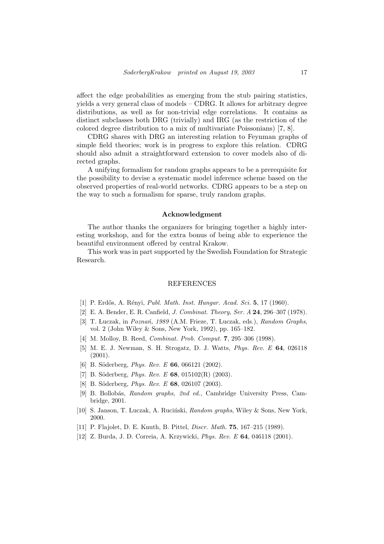affect the edge probabilities as emerging from the stub pairing statistics, yields a very general class of models – CDRG. It allows for arbitrary degree distributions, as well as for non-trivial edge correlations. It contains as distinct subclasses both DRG (trivially) and IRG (as the restriction of the colored degree distribution to a mix of multivariate Poissonians) [7, 8].

CDRG shares with DRG an interesting relation to Feynman graphs of simple field theories; work is in progress to explore this relation. CDRG should also admit a straightforward extension to cover models also of directed graphs.

A unifying formalism for random graphs appears to be a prerequisite for the possibility to devise a systematic model inference scheme based on the observed properties of real-world networks. CDRG appears to be a step on the way to such a formalism for sparse, truly random graphs.

## Acknowledgment

The author thanks the organizers for bringing together a highly interesting workshop, and for the extra bonus of being able to experience the beautiful environment offered by central Krakow.

This work was in part supported by the Swedish Foundation for Strategic Research.

#### REFERENCES

- [1] P. Erdős, A. Rényi, *Publ. Math. Inst. Hungar. Acad. Sci.* **5**, 17 (1960).
- [2] E. A. Bender, E. R. Canfield, J. Combinat. Theory, Ser. A 24, 296–307 (1978).
- [3] T. Łuczak, in Poznań, 1989 (A.M. Frieze, T. Łuczak, eds.), Random Graphs, vol. 2 (John Wiley & Sons, New York, 1992), pp. 165–182.
- [4] M. Molloy, B. Reed, Combinat. Prob. Comput. 7, 295–306 (1998).
- [5] M. E. J. Newman, S. H. Strogatz, D. J. Watts, Phys. Rev. E 64, 026118 (2001).
- [6] B. Söderberg, *Phys. Rev. E* 66, 066121 (2002).
- [7] B. Söderberg, *Phys. Rev. E* 68, 015102(R) (2003).
- [8] B. Söderberg, *Phys. Rev. E* 68, 026107 (2003).
- [9] B. Bollob´as, Random graphs, 2nd ed., Cambridge University Press, Cambridge, 2001.
- [10] S. Janson, T. Łuczak, A. Ruciński, Random graphs, Wiley & Sons, New York, 2000.
- [11] P. Flajolet, D. E. Knuth, B. Pittel, *Discr. Math.* **75**, 167–215 (1989).
- [12] Z. Burda, J. D. Correia, A. Krzywicki, Phys. Rev. E 64, 046118 (2001).